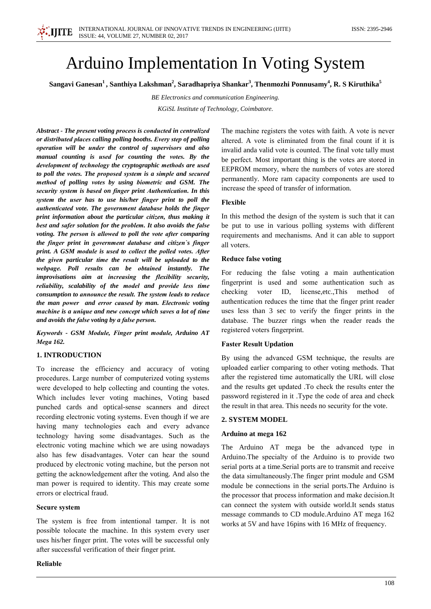# **Arduino Implementation In Voting System**

Sangavi Ganesan<sup>1</sup>, Santhiya Lakshman<sup>2</sup>, Saradhapriya Shankar<sup>3</sup>, Thenmozhi Ponnusamy<sup>4</sup>, R. S Kiruthika<sup>5</sup>

BE Electronics and communication Engineering.

KGiSL Institute of Technology, Coimbatore.

Abstract - The present voting process is conducted in centralized or distributed places calling polling booths. Every step of polling operation will be under the control of supervisors and also manual counting is used for counting the votes. By the development of technology the cryptographic methods are used to poll the votes. The proposed system is a simple and secured method of polling votes by using biometric and GSM. The security system is based on finger print Authentication. In this system the user has to use his/her finger print to poll the authenticated vote. The government database holds the finger print information about the particular citizen, thus making it best and safer solution for the problem. It also avoids the false voting. The person is allowed to poll the vote after comparing the finger print in government database and citizen's finger print. A GSM module is used to collect the polled votes. After the given particular time the result will be uploaded to the webpage. Poll results can be obtained instantly. The improvisations aim at increasing the flexibility security, reliability, scalability of the model and provide less time consumption to announce the result. The system leads to reduce the man power and error caused by man. Electronic voting machine is a unique and new concept which saves a lot of time and avoids the false voting by a false person.

Keywords - GSM Module, Finger print module, Arduino AT Mega 162.

# **1. INTRODUCTION**

To increase the efficiency and accuracy of voting procedures. Large number of computerized voting systems were developed to help collecting and counting the votes. Which includes lever voting machines, Voting based punched cards and optical-sense scanners and direct recording electronic voting systems. Even though if we are having many technologies each and every advance technology having some disadvantages. Such as the electronic voting machine which we are using nowadays also has few disadvantages. Voter can hear the sound produced by electronic voting machine, but the person not getting the acknowledgement after the voting. And also the man power is required to identity. This may create some errors or electrical fraud.

# **Secure system**

The system is free from intentional tamper. It is not possible tolocate the machine. In this system every user uses his/her finger print. The votes will be successful only after successful verification of their finger print.

#### Reliable

The machine registers the votes with faith. A vote is never altered. A vote is eliminated from the final count if it is invalid anda valid vote is counted. The final vote tally must be perfect. Most important thing is the votes are stored in EEPROM memory, where the numbers of votes are stored permanently. More ram capacity components are used to increase the speed of transfer of information.

### Flexible

In this method the design of the system is such that it can be put to use in various polling systems with different requirements and mechanisms. And it can able to support all voters.

### **Reduce false voting**

For reducing the false voting a main authentication fingerprint is used and some authentication such as checking voter ID, license, etc., This method of authentication reduces the time that the finger print reader uses less than 3 sec to verify the finger prints in the database. The buzzer rings when the reader reads the registered voters fingerprint.

# **Faster Result Updation**

By using the advanced GSM technique, the results are uploaded earlier comparing to other voting methods. That after the registered time automatically the URL will close and the results get updated .To check the results enter the password registered in it .Type the code of area and check the result in that area. This needs no security for the vote.

# 2. SYSTEM MODEL

# Arduino at mega 162

The Arduino AT mega be the advanced type in Arduino. The specialty of the Arduino is to provide two serial ports at a time. Serial ports are to transmit and receive the data simultaneously. The finger print module and GSM module be connections in the serial ports. The Arduino is the processor that process information and make decision. It can connect the system with outside world. It sends status message commands to CD module. Arduino AT mega 162 works at 5V and have 16pins with 16 MHz of frequency.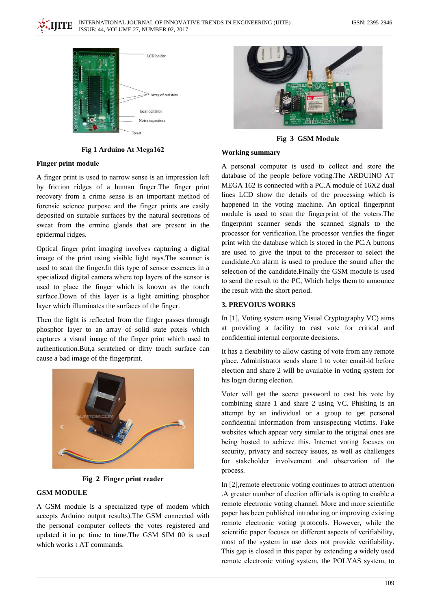



Fig 1 Arduino At Mega162

### **Finger print module**

A finger print is used to narrow sense is an impression left by friction ridges of a human finger. The finger print recovery from a crime sense is an important method of forensic science purpose and the finger prints are easily deposited on suitable surfaces by the natural secretions of sweat from the ermine glands that are present in the epidermal ridges.

Optical finger print imaging involves capturing a digital image of the print using visible light rays. The scanner is used to scan the finger. In this type of sensor essences in a specialized digital camera.where top layers of the sensor is used to place the finger which is known as the touch surface.Down of this layer is a light emitting phosphor layer which illuminates the surfaces of the finger.

Then the light is reflected from the finger passes through phosphor layer to an array of solid state pixels which captures a visual image of the finger print which used to authentication.But,a scratched or dirty touch surface can cause a bad image of the fingerprint.



Fig 2 Finger print reader

# **GSM MODULE**

A GSM module is a specialized type of modem which accepts Arduino output results). The GSM connected with the personal computer collects the votes registered and updated it in pc time to time. The GSM SIM 00 is used which works t AT commands.



Fig 3 GSM Module

### **Working summary**

A personal computer is used to collect and store the database of the people before voting. The ARDUINO AT MEGA 162 is connected with a PC.A module of 16X2 dual lines LCD show the details of the processing which is happened in the voting machine. An optical fingerprint module is used to scan the fingerprint of the voters. The fingerprint scanner sends the scanned signals to the processor for verification. The processor verifies the finger print with the database which is stored in the PC.A buttons are used to give the input to the processor to select the candidate. An alarm is used to produce the sound after the selection of the candidate. Finally the GSM module is used to send the result to the PC, Which helps them to announce the result with the short period.

# **3. PREVOIUS WORKS**

In [1], Voting system using Visual Cryptography VC) aims at providing a facility to cast vote for critical and confidential internal corporate decisions.

It has a flexibility to allow casting of vote from any remote place. Administrator sends share 1 to voter email-id before election and share 2 will be available in voting system for his login during election.

Voter will get the secret password to cast his vote by combining share 1 and share 2 using VC. Phishing is an attempt by an individual or a group to get personal confidential information from unsuspecting victims. Fake websites which appear very similar to the original ones are being hosted to achieve this. Internet voting focuses on security, privacy and secrecy issues, as well as challenges for stakeholder involvement and observation of the process.

In [2], remote electronic voting continues to attract attention .A greater number of election officials is opting to enable a remote electronic voting channel. More and more scientific paper has been published introducing or improving existing remote electronic voting protocols. However, while the scientific paper focuses on different aspects of verifiability, most of the system in use does not provide verifiability. This gap is closed in this paper by extending a widely used remote electronic voting system, the POLYAS system, to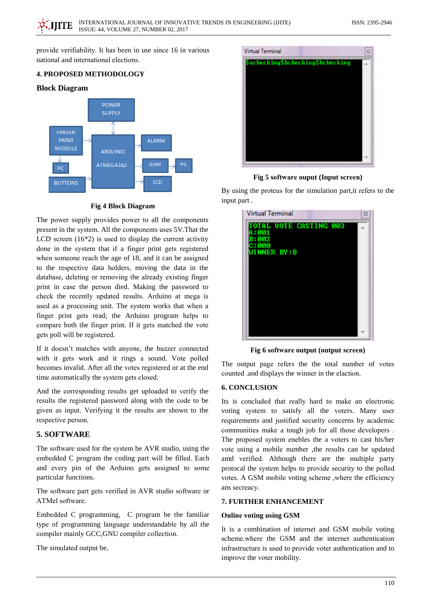provide verifiability. It has been in use since 16 in various national and international elections.

# **4. PROPOSED METHODOLOGY**

# **Block Diagram**



# **Fig 4 Block Diagram**

The power supply provides power to all the components present in the system. All the components uses 5V. That the LCD screen  $(16*2)$  is used to display the current activity done in the system that if a finger print gets registered when someone reach the age of 18, and it can be assigned to the respective data holders, moving the data in the database, deleting or removing the already existing finger print in case the person died. Making the password to check the recently updated results. Arduino at mega is used as a processing unit. The system works that when a finger print gets read; the Arduino program helps to compare both the finger print. If it gets matched the vote gets poll will be registered.

If it doesn't matches with anyone, the buzzer connected with it gets work and it rings a sound. Vote polled becomes invalid. After all the votes registered or at the end time automatically the system gets closed.

And the corresponding results get uploaded to verify the results the registered password along with the code to be given as input. Verifying it the results are shown to the respective person.

# **5. SOFTWARE**

The software used for the system be AVR studio, using the embedded C program the coding part will be filled. Each and every pin of the Arduino gets assigned to some particular functions.

The software part gets verified in AVR studio software or ATMel software.

Embedded C programming, C program be the familiar type of programming language understandable by all the compiler mainly GCC, GNU compiler collection.

The simulated output be,



Fig 5 software ouput (Input screen)

By using the proteus for the simulation part, it refers to the input part.

| <b>Virtual Terminal</b>                                                          | $\boldsymbol{\Xi}$ |
|----------------------------------------------------------------------------------|--------------------|
| <b>TOTAL UOTE CASTING 003</b><br>A = 001<br>B:002<br>C:000<br><b>WINNER BY:B</b> |                    |
|                                                                                  |                    |

Fig 6 software output (output screen)

The output page refers the the total number of votes counted .and displays the winner in the elaction.

#### **6. CONCLUSION**

Its is concluded that really hard to make an electronic voting system to satisfy all the voters. Many user requirements and justified security concerns by academic communities make a tough job for all those developers. The proposed system enebles the a voters to cast his/her vote using a mobile number ,the results can be updated amd verified. Although there are the multiple party protocal the system helps to provide security to the polled votes. A GSM mobile voting scheme ,where the efficiency ans secreacy.

# 7. FURTHER ENHANCEMENT

#### **Online voting using GSM**

It is a combination of internet and GSM mobile voting scheme where the GSM and the internet authentication infrastructure is used to provide voter authentication and to improve the voter mobility.